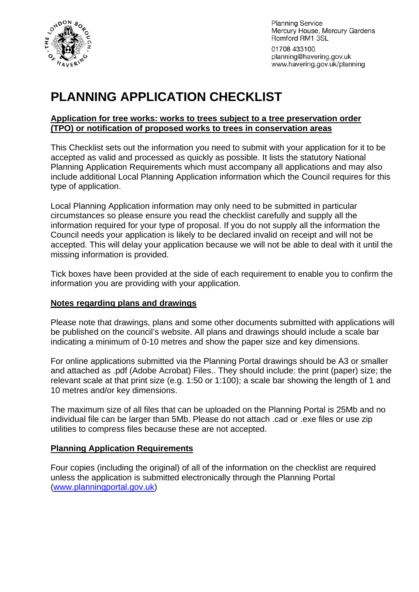

**Planning Service** Mercury House, Mercury Gardens Romford RM1 3SL

01708 433100 planning@havering.gov.uk www.havering.gov.uk/planning

# **PLANNING APPLICATION CHECKLIST**

#### **Application for tree works: works to trees subject to a tree preservation order (TPO) or notification of proposed works to trees in conservation areas**

This Checklist sets out the information you need to submit with your application for it to be accepted as valid and processed as quickly as possible. It lists the statutory National Planning Application Requirements which must accompany all applications and may also include additional Local Planning Application information which the Council requires for this type of application.

Local Planning Application information may only need to be submitted in particular circumstances so please ensure you read the checklist carefully and supply all the information required for your type of proposal. If you do not supply all the information the Council needs your application is likely to be declared invalid on receipt and will not be accepted. This will delay your application because we will not be able to deal with it until the missing information is provided.

Tick boxes have been provided at the side of each requirement to enable you to confirm the information you are providing with your application.

# **Notes regarding plans and drawings**

Please note that drawings, plans and some other documents submitted with applications will be published on the council's website. All plans and drawings should include a scale bar indicating a minimum of 0-10 metres and show the paper size and key dimensions.

For online applications submitted via the Planning Portal drawings should be A3 or smaller and attached as .pdf (Adobe Acrobat) Files.. They should include: the print (paper) size; the relevant scale at that print size (e.g. 1:50 or 1:100); a scale bar showing the length of 1 and 10 metres and/or key dimensions.

The maximum size of all files that can be uploaded on the Planning Portal is 25Mb and no individual file can be larger than 5Mb. Please do not attach .cad or .exe files or use zip utilities to compress files because these are not accepted.

# **Planning Application Requirements**

Four copies (including the original) of all of the information on the checklist are required unless the application is submitted electronically through the Planning Portal ([www.planningportal.gov.uk](http://www.planningportal.gov.uk/))